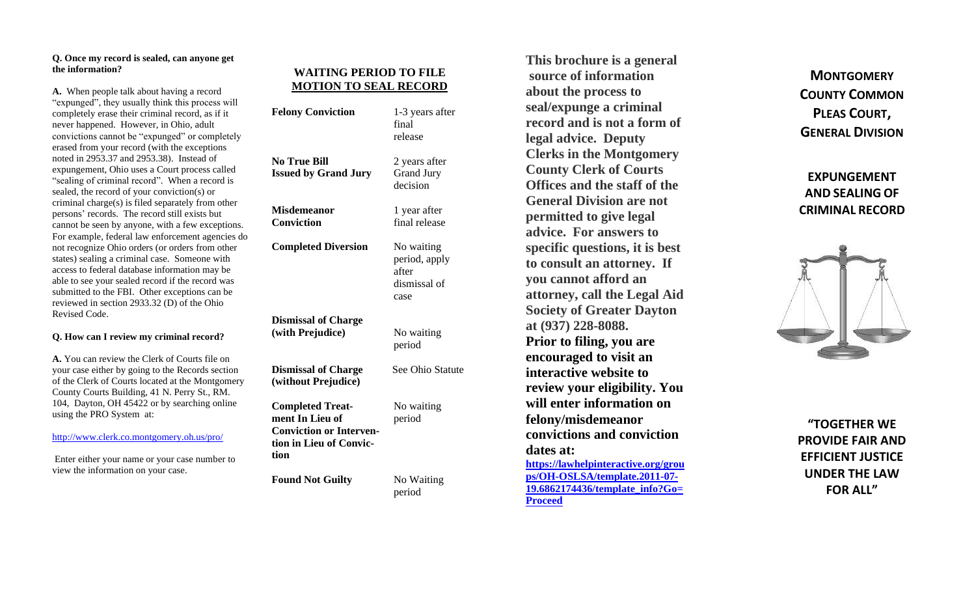### **Q. Once my record is sealed, can anyone get the information?**

**A.** When people talk about having a record "expunged", they usually think this process will completely erase their criminal record, as if it never happened. However, in Ohio, adult convictions cannot be "expunged" or completely erased fr om your record (with the exceptions noted in 2953.37 and 2953.38). Instead of expungement, Ohio uses a Court process called "sealing of criminal record". When a record is sealed, the record of your conviction(s) or criminal charge ( s ) is filed separately from other persons ' records. The record still exists but cannot be seen by anyone, with a few exceptions. For example, federal law enforcement agencies do not recognize Ohio orders (or orders from other states) sealing a criminal case. Someone with access to federal database information may be able to see your sealed record if the record was submitted to the FBI. Other exceptions can be reviewed in section 2933.32 (D) of the Ohio Revised Code.

### **Q. How can I review my criminal record?**

**A.** You can review the Clerk of Courts file on your case either by going to the Records section of the Clerk of Courts located at the Montgomery County Courts Building, 41 N. Perry St., RM. 104, Dayton, OH 45422 or by searching online using the PRO System at:

<http://www.clerk.co.montgomery.oh.us/pro/>

Enter either your name or your case number to view the information on your case.

## **WAITING PERIOD TO FILE MOTION TO SEAL RECORD**

| <b>Felony Conviction</b>                                                                                        | 1-3 years after<br>final<br>release                          |
|-----------------------------------------------------------------------------------------------------------------|--------------------------------------------------------------|
| <b>No True Bill</b><br><b>Issued by Grand Jury</b>                                                              | 2 years after<br><b>Grand Jury</b><br>decision               |
| <b>Misdemeanor</b><br><b>Conviction</b>                                                                         | 1 year after<br>final release                                |
| <b>Completed Diversion</b>                                                                                      | No waiting<br>period, apply<br>after<br>dismissal of<br>case |
| <b>Dismissal of Charge</b><br>(with Prejudice)                                                                  | No waiting<br>period                                         |
| <b>Dismissal of Charge</b><br>(without Prejudice)                                                               | See Ohio Statute                                             |
| <b>Completed Treat-</b><br>ment In Lieu of<br><b>Conviction or Interven-</b><br>tion in Lieu of Convic-<br>tion | No waiting<br>period                                         |
| <b>Found Not Guilty</b>                                                                                         | No Waiting<br>period                                         |

**seal/expunge a criminal record and is not a form of legal advice. Deputy Clerks in the Montgomery County Clerk of Courts Offices and the staff of the General Division are not permitted to give legal advice. For answers to specific questions, it is best to consult an attorney. If you cannot afford an attorney, call the Legal Aid Society of Greater Dayton at (937) 228 -8088. Prior to filing, you are encouraged to visit an interactive website to review your eligibility. You will enter information on felony/misdemeanor convictions and conviction dates at: [https://lawhelpinteractive.org/grou](https://lawhelpinteractive.org/groups/OH-OSLSA/template.2011-07-19.6862174436/template_info?Go=Proceed) ps/OH [-OSLSA/template.2011](https://lawhelpinteractive.org/groups/OH-OSLSA/template.2011-07-19.6862174436/template_info?Go=Proceed) -07 - [19.6862174436/template\\_info?Go=](https://lawhelpinteractive.org/groups/OH-OSLSA/template.2011-07-19.6862174436/template_info?Go=Proceed) [Proceed](https://lawhelpinteractive.org/groups/OH-OSLSA/template.2011-07-19.6862174436/template_info?Go=Proceed)**

 **This brochure is a general source of information about the process to** 

**MONTGOMERY COUNTY COMMON PLEAS COURT , GENERAL DIVISION**

**EXPUNGEMENT AND SEALING OF CRIMINAL RECORD**



**"TOGETHER WE PROVIDE FAIR AND EFFICIENT JUSTICE UNDER THE LAW FOR ALL"**